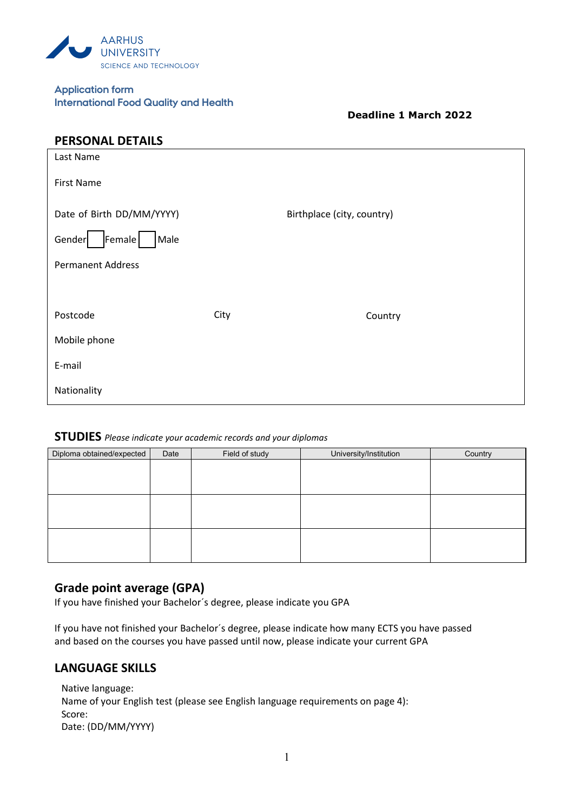

| <b>Application form</b> |                                              |
|-------------------------|----------------------------------------------|
|                         | <b>International Food Quality and Health</b> |

**Deadline 1 March 2022** 

| <b>PERSONAL DETAILS</b>   |      |                            |
|---------------------------|------|----------------------------|
| Last Name                 |      |                            |
| <b>First Name</b>         |      |                            |
| Date of Birth DD/MM/YYYY) |      | Birthplace (city, country) |
| Gender<br>Female<br>Male  |      |                            |
| <b>Permanent Address</b>  |      |                            |
|                           |      |                            |
| Postcode                  | City | Country                    |
| Mobile phone              |      |                            |
| E-mail                    |      |                            |
| Nationality               |      |                            |

## **STUDIES** *Please indicate your academic records and your diplomas*

| Diploma obtained/expected | Date | Field of study | University/Institution | Country |
|---------------------------|------|----------------|------------------------|---------|
|                           |      |                |                        |         |
|                           |      |                |                        |         |
|                           |      |                |                        |         |
|                           |      |                |                        |         |
|                           |      |                |                        |         |
|                           |      |                |                        |         |
|                           |      |                |                        |         |
|                           |      |                |                        |         |
|                           |      |                |                        |         |

### **Grade point average (GPA)**

If you have finished your Bachelor´s degree, please indicate you GPA

If you have not finished your Bachelor´s degree, please indicate how many ECTS you have passed and based on the courses you have passed until now, please indicate your current GPA

### **LANGUAGE SKILLS**

Native language: Name of your English test (please see English language requirements on page 4): Score: Date: (DD/MM/YYYY)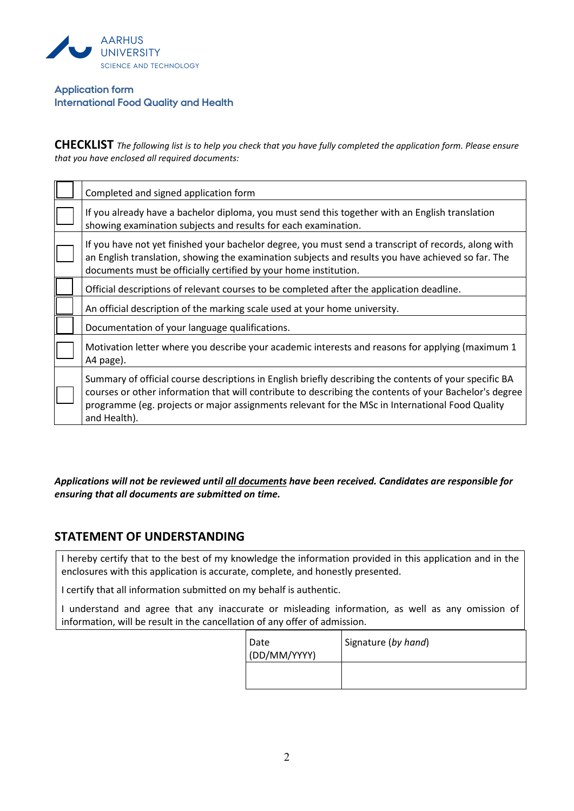

### **Application form International Food Quality and Health**

**CHECKLIST** *The following list is to help you check that you have fully completed the application form. Please ensure that you have enclosed all required documents:*

| Completed and signed application form                                                                                                                                                                                                                                                                                               |  |
|-------------------------------------------------------------------------------------------------------------------------------------------------------------------------------------------------------------------------------------------------------------------------------------------------------------------------------------|--|
| If you already have a bachelor diploma, you must send this together with an English translation<br>showing examination subjects and results for each examination.                                                                                                                                                                   |  |
| If you have not yet finished your bachelor degree, you must send a transcript of records, along with<br>an English translation, showing the examination subjects and results you have achieved so far. The<br>documents must be officially certified by your home institution.                                                      |  |
| Official descriptions of relevant courses to be completed after the application deadline.                                                                                                                                                                                                                                           |  |
| An official description of the marking scale used at your home university.                                                                                                                                                                                                                                                          |  |
| Documentation of your language qualifications.                                                                                                                                                                                                                                                                                      |  |
| Motivation letter where you describe your academic interests and reasons for applying (maximum 1)<br>A4 page).                                                                                                                                                                                                                      |  |
| Summary of official course descriptions in English briefly describing the contents of your specific BA<br>courses or other information that will contribute to describing the contents of your Bachelor's degree<br>programme (eg. projects or major assignments relevant for the MSc in International Food Quality<br>and Health). |  |

*Applications will not be reviewed until all documents have been received. Candidates are responsible for ensuring that all documents are submitted on time.*

## **STATEMENT OF UNDERSTANDING**

I hereby certify that to the best of my knowledge the information provided in this application and in the enclosures with this application is accurate, complete, and honestly presented.

I certify that all information submitted on my behalf is authentic.

I understand and agree that any inaccurate or misleading information, as well as any omission of information, will be result in the cancellation of any offer of admission.

| Date<br>(DD/MM/YYYY) | Signature (by hand) |
|----------------------|---------------------|
|                      |                     |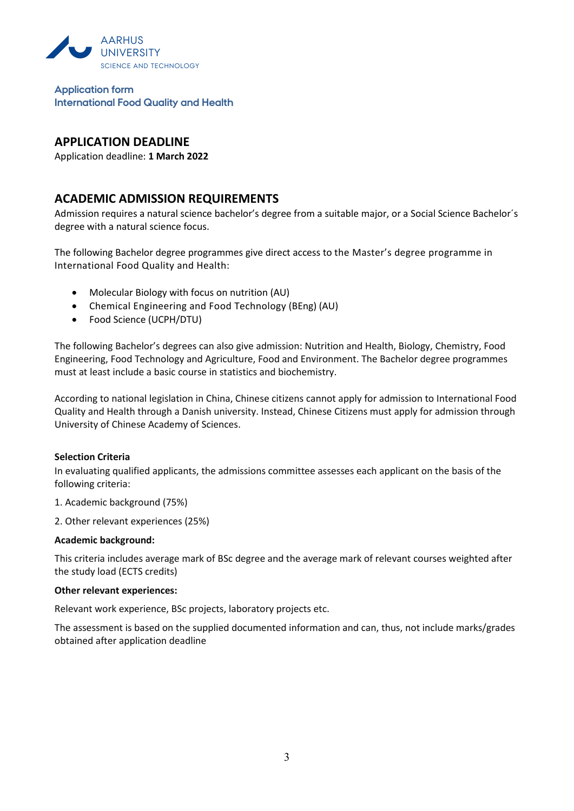

**Application form International Food Quality and Health**

## **APPLICATION DEADLINE**

Application deadline: **1 March 2022**

## **ACADEMIC ADMISSION REQUIREMENTS**

Admission requires a natural science bachelor's degree from a suitable major, or a Social Science Bachelor´s degree with a natural science focus.

The following Bachelor degree programmes give direct access to the Master's degree programme in International Food Quality and Health:

- Molecular Biology with focus on nutrition (AU)
- Chemical Engineering and Food Technology (BEng) (AU)
- Food Science (UCPH/DTU)

The following Bachelor's degrees can also give admission: Nutrition and Health, Biology, Chemistry, Food Engineering, Food Technology and Agriculture, Food and Environment. The Bachelor degree programmes must at least include a basic course in statistics and biochemistry.

According to national legislation in China, Chinese citizens cannot apply for admission to International Food Quality and Health through a Danish university. Instead, Chinese Citizens must apply for admission through University of Chinese Academy of Sciences.

#### **Selection Criteria**

In evaluating qualified applicants, the admissions committee assesses each applicant on the basis of the following criteria:

1. Academic background (75%)

2. Other relevant experiences (25%)

#### **Academic background:**

This criteria includes average mark of BSc degree and the average mark of relevant courses weighted after the study load (ECTS credits)

#### **Other relevant experiences:**

Relevant work experience, BSc projects, laboratory projects etc.

The assessment is based on the supplied documented information and can, thus, not include marks/grades obtained after application deadline